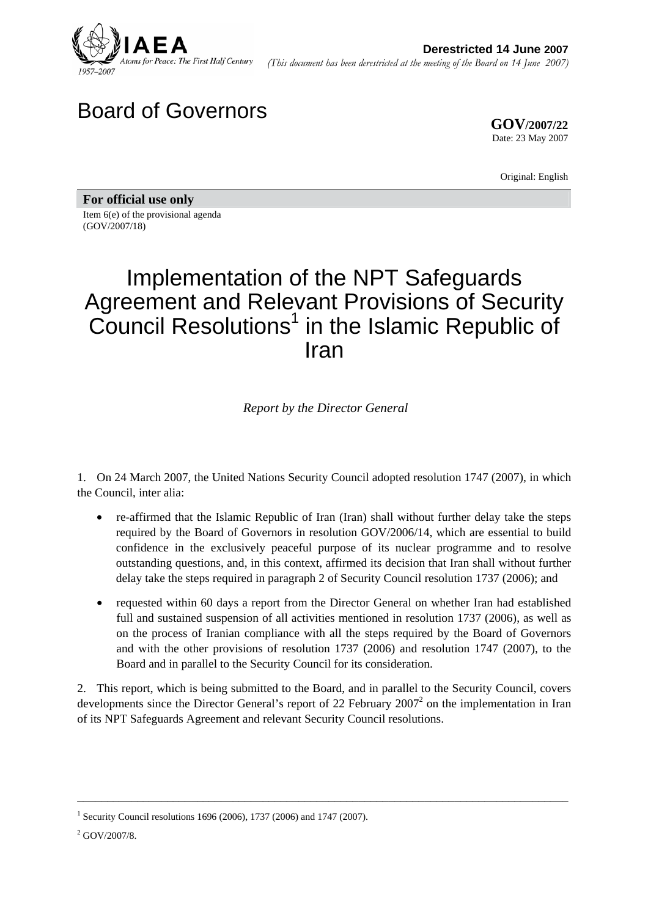

# Board of Governors

**GOV/2007/22** Date: 23 May 2007

Original: English

**For official use only**  Item 6(e) of the provisional agenda (GOV/2007/18)

# Implementation of the NPT Safeguards Agreement and Relevant Provisions of Security Council Resolutions<sup>1</sup> in the Islamic Republic of Iran

*Report by the Director General* 

1. On 24 March 2007, the United Nations Security Council adopted resolution 1747 (2007), in which the Council, inter alia:

- re-affirmed that the Islamic Republic of Iran (Iran) shall without further delay take the steps required by the Board of Governors in resolution GOV/2006/14, which are essential to build confidence in the exclusively peaceful purpose of its nuclear programme and to resolve outstanding questions, and, in this context, affirmed its decision that Iran shall without further delay take the steps required in paragraph 2 of Security Council resolution 1737 (2006); and
- requested within 60 days a report from the Director General on whether Iran had established full and sustained suspension of all activities mentioned in resolution 1737 (2006), as well as on the process of Iranian compliance with all the steps required by the Board of Governors and with the other provisions of resolution 1737 (2006) and resolution 1747 (2007), to the Board and in parallel to the Security Council for its consideration.

2. This report, which is being submitted to the Board, and in parallel to the Security Council, covers developments since the Director General's report of 22 February 2007<sup>2</sup> on the implementation in Iran of its NPT Safeguards Agreement and relevant Security Council resolutions.

\_\_\_\_\_\_\_\_\_\_\_\_\_\_\_\_\_\_\_\_\_\_\_\_\_\_\_\_\_\_\_\_\_\_\_\_\_\_\_\_\_\_\_\_\_\_\_\_\_\_\_\_\_\_\_\_\_\_\_\_\_\_\_\_\_\_\_\_\_\_\_\_\_\_\_\_\_\_\_\_\_\_

<sup>1</sup> Security Council resolutions 1696 (2006), 1737 (2006) and 1747 (2007).

 $2$  GOV/2007/8.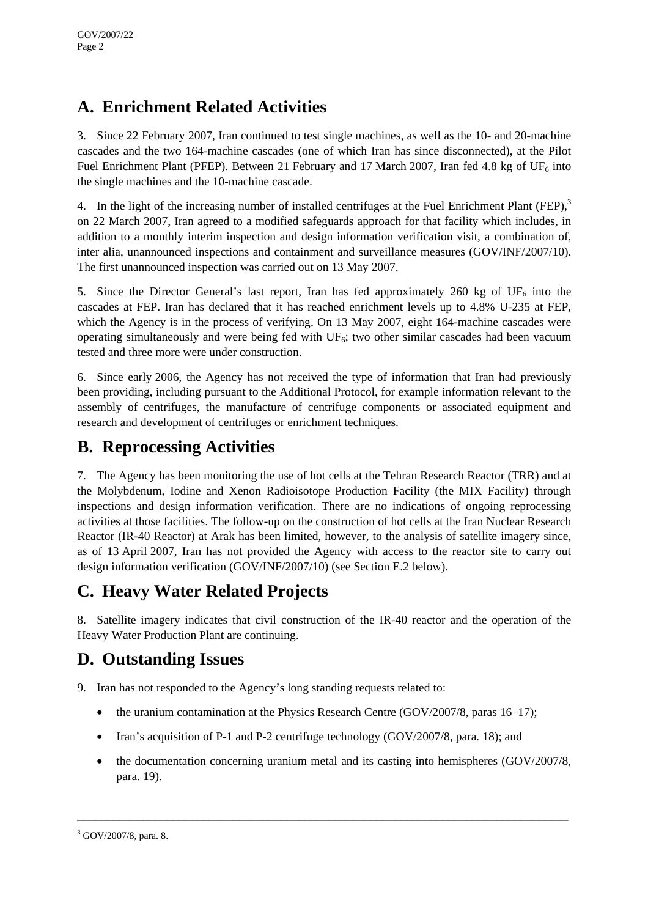## **A. Enrichment Related Activities**

3. Since 22 February 2007, Iran continued to test single machines, as well as the 10- and 20-machine cascades and the two 164-machine cascades (one of which Iran has since disconnected), at the Pilot Fuel Enrichment Plant (PFEP). Between 21 February and 17 March 2007, Iran fed 4.8 kg of UF<sub>6</sub> into the single machines and the 10-machine cascade.

4. In the light of the increasing number of installed centrifuges at the Fuel Enrichment Plant (FEP),<sup>3</sup> on 22 March 2007, Iran agreed to a modified safeguards approach for that facility which includes, in addition to a monthly interim inspection and design information verification visit, a combination of, inter alia, unannounced inspections and containment and surveillance measures (GOV/INF/2007/10). The first unannounced inspection was carried out on 13 May 2007.

5. Since the Director General's last report, Iran has fed approximately 260 kg of UF<sub>6</sub> into the cascades at FEP. Iran has declared that it has reached enrichment levels up to 4.8% U-235 at FEP, which the Agency is in the process of verifying. On 13 May 2007, eight 164-machine cascades were operating simultaneously and were being fed with  $UF_6$ ; two other similar cascades had been vacuum tested and three more were under construction.

6. Since early 2006, the Agency has not received the type of information that Iran had previously been providing, including pursuant to the Additional Protocol, for example information relevant to the assembly of centrifuges, the manufacture of centrifuge components or associated equipment and research and development of centrifuges or enrichment techniques.

### **B. Reprocessing Activities**

7. The Agency has been monitoring the use of hot cells at the Tehran Research Reactor (TRR) and at the Molybdenum, Iodine and Xenon Radioisotope Production Facility (the MIX Facility) through inspections and design information verification. There are no indications of ongoing reprocessing activities at those facilities. The follow-up on the construction of hot cells at the Iran Nuclear Research Reactor (IR-40 Reactor) at Arak has been limited, however, to the analysis of satellite imagery since, as of 13 April 2007, Iran has not provided the Agency with access to the reactor site to carry out design information verification (GOV/INF/2007/10) (see Section E.2 below).

### **C. Heavy Water Related Projects**

8. Satellite imagery indicates that civil construction of the IR-40 reactor and the operation of the Heavy Water Production Plant are continuing.

## **D. Outstanding Issues**

9. Iran has not responded to the Agency's long standing requests related to:

- the uranium contamination at the Physics Research Centre (GOV/2007/8, paras 16–17);
- Iran's acquisition of P-1 and P-2 centrifuge technology (GOV/2007/8, para. 18); and
- the documentation concerning uranium metal and its casting into hemispheres (GOV/2007/8, para. 19).

\_\_\_\_\_\_\_\_\_\_\_\_\_\_\_\_\_\_\_\_\_\_\_\_\_\_\_\_\_\_\_\_\_\_\_\_\_\_\_\_\_\_\_\_\_\_\_\_\_\_\_\_\_\_\_\_\_\_\_\_\_\_\_\_\_\_\_\_\_\_\_\_\_\_\_\_\_\_\_\_\_\_

<sup>&</sup>lt;sup>3</sup> GOV/2007/8, para. 8.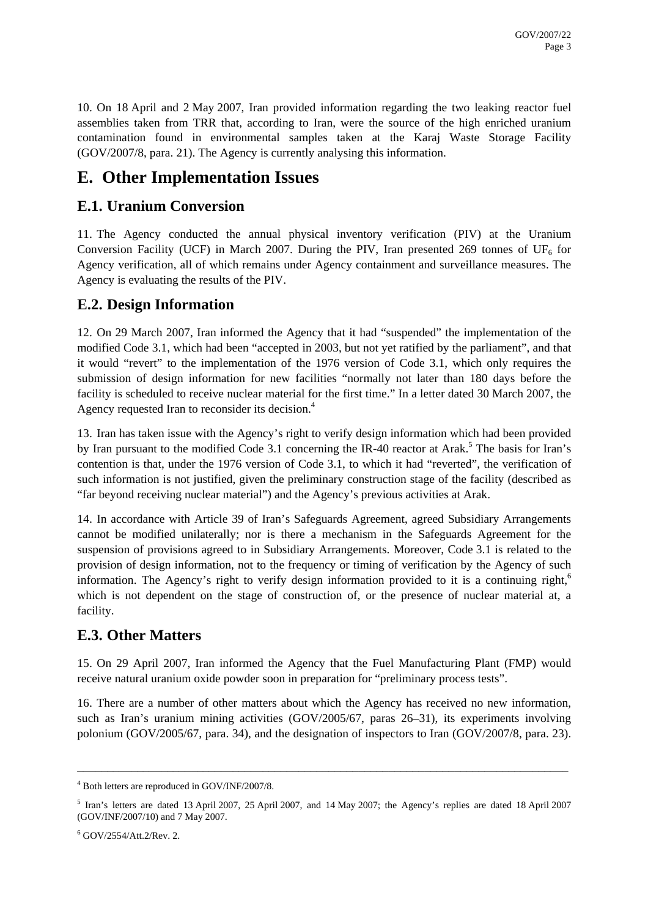10. On 18 April and 2 May 2007, Iran provided information regarding the two leaking reactor fuel assemblies taken from TRR that, according to Iran, were the source of the high enriched uranium contamination found in environmental samples taken at the Karaj Waste Storage Facility (GOV/2007/8, para. 21). The Agency is currently analysing this information.

### **E. Other Implementation Issues**

#### **E.1. Uranium Conversion**

11. The Agency conducted the annual physical inventory verification (PIV) at the Uranium Conversion Facility (UCF) in March 2007. During the PIV, Iran presented 269 tonnes of UF<sub>6</sub> for Agency verification, all of which remains under Agency containment and surveillance measures. The Agency is evaluating the results of the PIV.

#### **E.2. Design Information**

12. On 29 March 2007, Iran informed the Agency that it had "suspended" the implementation of the modified Code 3.1, which had been "accepted in 2003, but not yet ratified by the parliament", and that it would "revert" to the implementation of the 1976 version of Code 3.1, which only requires the submission of design information for new facilities "normally not later than 180 days before the facility is scheduled to receive nuclear material for the first time." In a letter dated 30 March 2007, the Agency requested Iran to reconsider its decision.<sup>4</sup>

13. Iran has taken issue with the Agency's right to verify design information which had been provided by Iran pursuant to the modified Code 3.1 concerning the IR-40 reactor at Arak.<sup>5</sup> The basis for Iran's contention is that, under the 1976 version of Code 3.1, to which it had "reverted", the verification of such information is not justified, given the preliminary construction stage of the facility (described as "far beyond receiving nuclear material") and the Agency's previous activities at Arak.

14. In accordance with Article 39 of Iran's Safeguards Agreement, agreed Subsidiary Arrangements cannot be modified unilaterally; nor is there a mechanism in the Safeguards Agreement for the suspension of provisions agreed to in Subsidiary Arrangements. Moreover, Code 3.1 is related to the provision of design information, not to the frequency or timing of verification by the Agency of such information. The Agency's right to verify design information provided to it is a continuing right,<sup>6</sup> which is not dependent on the stage of construction of, or the presence of nuclear material at, a facility.

#### **E.3. Other Matters**

15. On 29 April 2007, Iran informed the Agency that the Fuel Manufacturing Plant (FMP) would receive natural uranium oxide powder soon in preparation for "preliminary process tests".

16. There are a number of other matters about which the Agency has received no new information, such as Iran's uranium mining activities (GOV/2005/67, paras 26–31), its experiments involving polonium (GOV/2005/67, para. 34), and the designation of inspectors to Iran (GOV/2007/8, para. 23).

\_\_\_\_\_\_\_\_\_\_\_\_\_\_\_\_\_\_\_\_\_\_\_\_\_\_\_\_\_\_\_\_\_\_\_\_\_\_\_\_\_\_\_\_\_\_\_\_\_\_\_\_\_\_\_\_\_\_\_\_\_\_\_\_\_\_\_\_\_\_\_\_\_\_\_\_\_\_\_\_\_\_

<sup>4</sup> Both letters are reproduced in GOV/INF/2007/8.

<sup>&</sup>lt;sup>5</sup> Iran's letters are dated 13 April 2007, 25 April 2007, and 14 May 2007; the Agency's replies are dated 18 April 2007 (GOV/INF/2007/10) and 7 May 2007.

 $6$  GOV/2554/Att.2/Rev. 2.